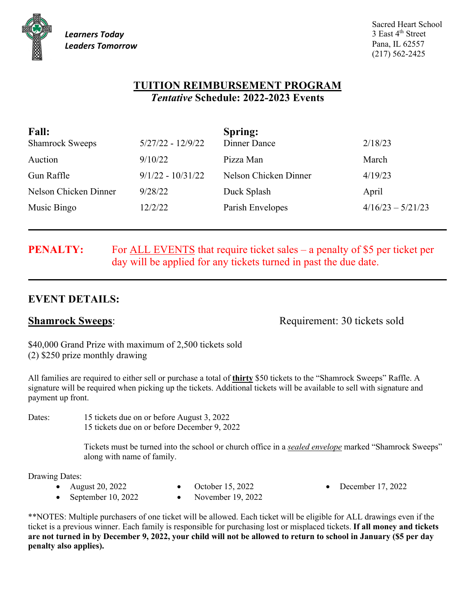

Sacred Heart School 3 East 4<sup>th</sup> Street Pana, IL 62557 (217) 562-2425

## **TUITION REIMBURSEMENT PROGRAM** *Tentative* **Schedule: 2022-2023 Events**

| <b>Fall:</b>           |                     | Spring:               |                     |
|------------------------|---------------------|-----------------------|---------------------|
| <b>Shamrock Sweeps</b> | $5/27/22 - 12/9/22$ | Dinner Dance          | 2/18/23             |
| Auction                | 9/10/22             | Pizza Man             | March               |
| Gun Raffle             | $9/1/22 - 10/31/22$ | Nelson Chicken Dinner | 4/19/23             |
| Nelson Chicken Dinner  | 9/28/22             | Duck Splash           | April               |
| Music Bingo            | 12/2/22             | Parish Envelopes      | $4/16/23 - 5/21/23$ |

# **PENALTY:** For ALL EVENTS that require ticket sales – a penalty of \$5 per ticket per day will be applied for any tickets turned in past the due date.

## **EVENT DETAILS:**

**Shamrock Sweeps:** Requirement: 30 tickets sold

\$40,000 Grand Prize with maximum of 2,500 tickets sold (2) \$250 prize monthly drawing

All families are required to either sell or purchase a total of **thirty** \$50 tickets to the "Shamrock Sweeps" Raffle. A signature will be required when picking up the tickets. Additional tickets will be available to sell with signature and payment up front.

Dates: 15 tickets due on or before August 3, 2022 15 tickets due on or before December 9, 2022

> Tickets must be turned into the school or church office in a *sealed envelope* marked "Shamrock Sweeps" along with name of family.

Drawing Dates:

- August 20, 2022
- October 15, 2022

• December 17, 2022

- September 10, 2022
- November 19, 2022

\*\*NOTES: Multiple purchasers of one ticket will be allowed. Each ticket will be eligible for ALL drawings even if the ticket is a previous winner. Each family is responsible for purchasing lost or misplaced tickets. **If all money and tickets are not turned in by December 9, 2022, your child will not be allowed to return to school in January (\$5 per day penalty also applies).**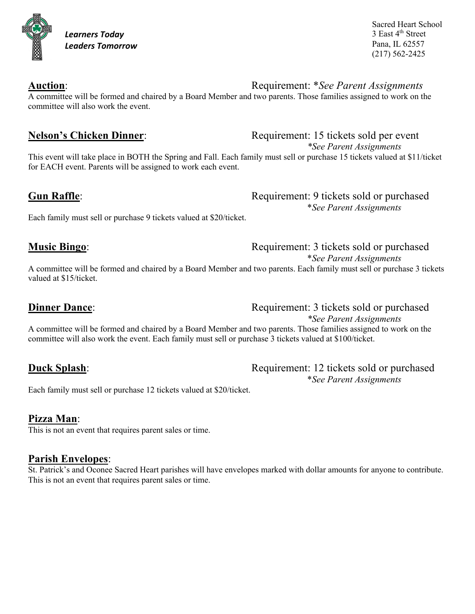

Sacred Heart School 3 East 4<sup>th</sup> Street Pana, IL 62557 (217) 562-2425

**Auction**: Requirement: \**See Parent Assignments* A committee will be formed and chaired by a Board Member and two parents. Those families assigned to work on the committee will also work the event.

This event will take place in BOTH the Spring and Fall. Each family must sell or purchase 15 tickets valued at \$11/ticket for EACH event. Parents will be assigned to work each event.

Each family must sell or purchase 9 tickets valued at \$20/ticket.

A committee will be formed and chaired by a Board Member and two parents. Each family must sell or purchase 3 tickets valued at \$15/ticket.

*\*See Parent Assignments* A committee will be formed and chaired by a Board Member and two parents. Those families assigned to work on the committee will also work the event. Each family must sell or purchase 3 tickets valued at \$100/ticket.

**Duck Splash:** Requirement: 12 tickets sold or purchased \**See Parent Assignments*

Each family must sell or purchase 12 tickets valued at \$20/ticket.

## **Pizza Man**:

This is not an event that requires parent sales or time.

## **Parish Envelopes**:

St. Patrick's and Oconee Sacred Heart parishes will have envelopes marked with dollar amounts for anyone to contribute. This is not an event that requires parent sales or time.

### **Nelson's Chicken Dinner:** Requirement: 15 tickets sold per event *\*See Parent Assignments*

**Gun Raffle**: **Gun Raffle**: **Requirement: 9 tickets sold or purchased** \**See Parent Assignments*

# **Music Bingo:** Requirement: 3 tickets sold or purchased

\**See Parent Assignments*

**Dinner Dance:** Requirement: 3 tickets sold or purchased